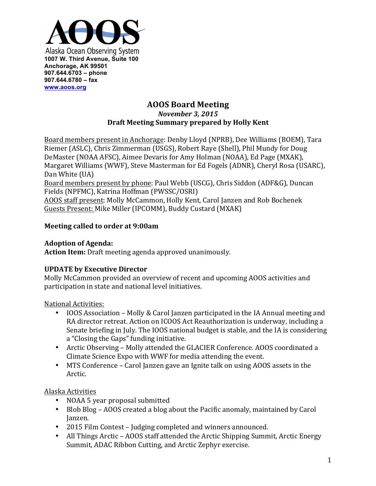

### **AOOS Board Meeting** *November 3, 2015* **Draft Meeting Summary prepared by Holly Kent**

Board members present in Anchorage: Denby Lloyd (NPRB), Dee Williams (BOEM), Tara Riemer (ASLC), Chris Zimmerman (USGS), Robert Raye (Shell), Phil Mundy for Doug DeMaster (NOAA AFSC), Aimee Devaris for Amy Holman (NOAA), Ed Page (MXAK), Margaret Williams (WWF), Steve Masterman for Ed Fogels (ADNR), Cheryl Rosa (USARC), Dan White (UA)

Board members present by phone: Paul Webb (USCG), Chris Siddon (ADF&G), Duncan Fields (NPFMC), Katrina Hoffman (PWSSC/OSRI)

AOOS staff present: Molly McCammon, Holly Kent, Carol Janzen and Rob Bochenek Guests Present: Mike Miller (IPCOMM), Buddy Custard (MXAK)

## **Meeting called to order at 9:00am**

## **Adoption of Agenda:**

**Action Item:** Draft meeting agenda approved unanimously.

# **UPDATE by Executive Director**

Molly McCammon provided an overview of recent and upcoming AOOS activities and participation in state and national level initiatives.

### National Activities:

- IOOS Association Molly & Carol Janzen participated in the IA Annual meeting and RA director retreat. Action on ICOOS Act Reauthorization is underway, including a Senate briefing in July. The IOOS national budget is stable, and the IA is considering a "Closing the Gaps" funding initiative.
- Arctic Observing Molly attended the GLACIER Conference. AOOS coordinated a Climate Science Expo with WWF for media attending the event.
- MTS Conference Carol Janzen gave an Ignite talk on using AOOS assets in the Arctic.

# Alaska Activities

- NOAA 5 year proposal submitted
- Blob Blog AOOS created a blog about the Pacific anomaly, maintained by Carol Janzen.
- 2015 Film Contest Judging completed and winners announced.
- All Things Arctic AOOS staff attended the Arctic Shipping Summit, Arctic Energy Summit, ADAC Ribbon Cutting, and Arctic Zephyr exercise.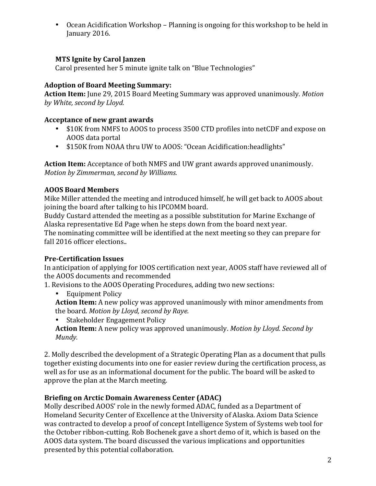• Ocean Acidification Workshop – Planning is ongoing for this workshop to be held in January 2016.

## **MTS Ignite by Carol Janzen**

Carol presented her 5 minute ignite talk on "Blue Technologies"

### **Adoption of Board Meeting Summary:**

**Action Item:** June 29, 2015 Board Meeting Summary was approved unanimously. Motion by *White, second by Lloyd.* 

#### **Acceptance of new grant awards**

- \$10K from NMFS to AOOS to process 3500 CTD profiles into netCDF and expose on AOOS data portal
- \$150K from NOAA thru UW to AOOS: "Ocean Acidification:headlights"

Action Item: Acceptance of both NMFS and UW grant awards approved unanimously. *Motion by Zimmerman, second by Williams.* 

### **AOOS Board Members**

Mike Miller attended the meeting and introduced himself, he will get back to AOOS about joining the board after talking to his IPCOMM board.

Buddy Custard attended the meeting as a possible substitution for Marine Exchange of Alaska representative Ed Page when he steps down from the board next year.

The nominating committee will be identified at the next meeting so they can prepare for fall 2016 officer elections..

### **Pre-Certification Issues**

In anticipation of applying for IOOS certification next year, AOOS staff have reviewed all of the AOOS documents and recommended

1. Revisions to the AOOS Operating Procedures, adding two new sections:

- Equipment Policy
- **Action Item:** A new policy was approved unanimously with minor amendments from the board. *Motion by Lloyd, second by Raye.*

Stakeholder Engagement Policy

**Action Item:** A new policy was approved unanimously. *Motion by Lloyd. Second by Mundy.*

2. Molly described the development of a Strategic Operating Plan as a document that pulls together existing documents into one for easier review during the certification process, as well as for use as an informational document for the public. The board will be asked to approve the plan at the March meeting.

### **Briefing on Arctic Domain Awareness Center (ADAC)**

Molly described AOOS' role in the newly formed ADAC, funded as a Department of Homeland Security Center of Excellence at the University of Alaska. Axiom Data Science was contracted to develop a proof of concept Intelligence System of Systems web tool for the October ribbon-cutting. Rob Bochenek gave a short demo of it, which is based on the AOOS data system. The board discussed the various implications and opportunities presented by this potential collaboration.